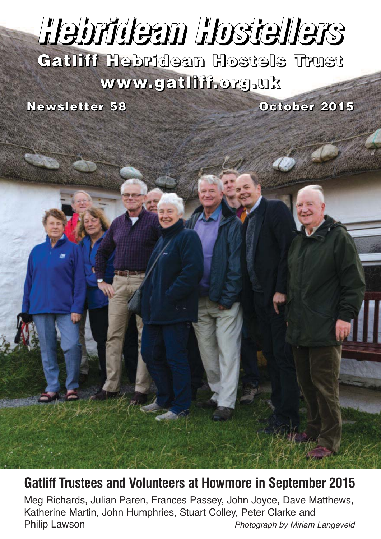# *Hebridean Hostellers*

**Gatliff Hebridean Hostels Trust www.gatliff.org.uk**

**Newsletter 58 October 2015** 



Meg Richards, Julian Paren, Frances Passey, John Joyce, Dave Matthews, Katherine Martin, John Humphries, Stuart Colley, Peter Clarke and Philip Lawson **Photograph by Miriam Langeveld**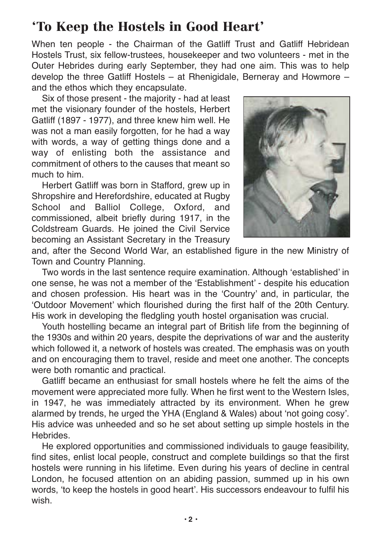## **'To Keep the Hostels in Good Heart'**

When ten people - the Chairman of the Gatliff Trust and Gatliff Hebridean Hostels Trust, six fellow-trustees, housekeeper and two volunteers - met in the Outer Hebrides during early September, they had one aim. This was to help develop the three Gatliff Hostels – at Rhenigidale, Berneray and Howmore – and the ethos which they encapsulate.

Six of those present - the majority - had at least met the visionary founder of the hostels, Herbert Gatliff (1897 - 1977), and three knew him well. He was not a man easily forgotten, for he had a way with words, a way of getting things done and a way of enlisting both the assistance and commitment of others to the causes that meant so much to him.

Herbert Gatliff was born in Stafford, grew up in Shropshire and Herefordshire, educated at Rugby School and Balliol College, Oxford, and commissioned, albeit briefly during 1917, in the Coldstream Guards. He joined the Civil Service becoming an Assistant Secretary in the Treasury



and, after the Second World War, an established figure in the new Ministry of Town and Country Planning.

Two words in the last sentence require examination. Although 'established' in one sense, he was not a member of the 'Establishment' - despite his education and chosen profession. His heart was in the 'Country' and, in particular, the 'Outdoor Movement' which flourished during the first half of the 20th Century. His work in developing the fledgling youth hostel organisation was crucial.

Youth hostelling became an integral part of British life from the beginning of the 1930s and within 20 years, despite the deprivations of war and the austerity which followed it, a network of hostels was created. The emphasis was on youth and on encouraging them to travel, reside and meet one another. The concepts were both romantic and practical.

Gatliff became an enthusiast for small hostels where he felt the aims of the movement were appreciated more fully. When he first went to the Western Isles, in 1947, he was immediately attracted by its environment. When he grew alarmed by trends, he urged the YHA (England & Wales) about 'not going cosy'. His advice was unheeded and so he set about setting up simple hostels in the Hebrides.

He explored opportunities and commissioned individuals to gauge feasibility, find sites, enlist local people, construct and complete buildings so that the first hostels were running in his lifetime. Even during his years of decline in central London, he focused attention on an abiding passion, summed up in his own words, 'to keep the hostels in good heart'. His successors endeavour to fulfil his wish.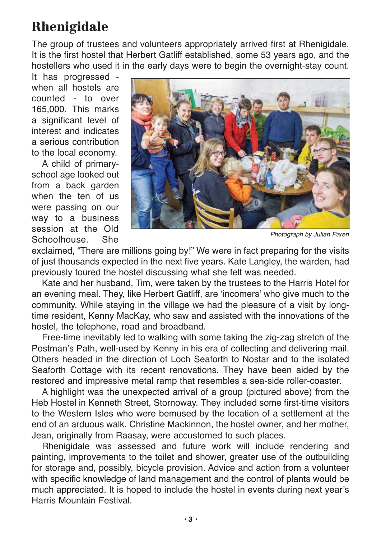# **Rhenigidale**

The group of trustees and volunteers appropriately arrived first at Rhenigidale. It is the first hostel that Herbert Gatliff established, some 53 years ago, and the hostellers who used it in the early days were to begin the overnight-stay count.

It has progressed when all hostels are counted - to over 165,000. This marks a significant level of interest and indicates a serious contribution to the local economy.

A child of primaryschool age looked out from a back garden when the ten of us were passing on our way to a business session at the Old Schoolhouse. She



Photograph by Julian Paren

exclaimed, "There are millions going by!" We were in fact preparing for the visits of just thousands expected in the next five years. Kate Langley, the warden, had previously toured the hostel discussing what she felt was needed.

Kate and her husband, Tim, were taken by the trustees to the Harris Hotel for an evening meal. They, like Herbert Gatliff, are 'incomers' who give much to the community. While staying in the village we had the pleasure of a visit by longtime resident, Kenny MacKay, who saw and assisted with the innovations of the hostel, the telephone, road and broadband.

Free-time inevitably led to walking with some taking the zig-zag stretch of the Postman's Path, well-used by Kenny in his era of collecting and delivering mail. Others headed in the direction of Loch Seaforth to Nostar and to the isolated Seaforth Cottage with its recent renovations. They have been aided by the restored and impressive metal ramp that resembles a sea-side roller-coaster.

A highlight was the unexpected arrival of a group (pictured above) from the Heb Hostel in Kenneth Street, Stornoway. They included some first-time visitors to the Western Isles who were bemused by the location of a settlement at the end of an arduous walk. Christine Mackinnon, the hostel owner, and her mother, Jean, originally from Raasay, were accustomed to such places.

Rhenigidale was assessed and future work will include rendering and painting, improvements to the toilet and shower, greater use of the outbuilding for storage and, possibly, bicycle provision. Advice and action from a volunteer with specific knowledge of land management and the control of plants would be much appreciated. It is hoped to include the hostel in events during next year's Harris Mountain Festival.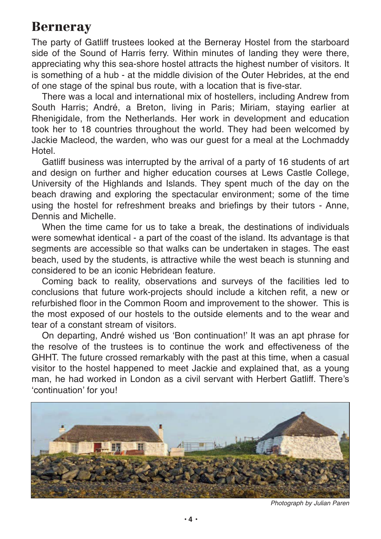#### **Berneray**

The party of Gatliff trustees looked at the Berneray Hostel from the starboard side of the Sound of Harris ferry. Within minutes of landing they were there, appreciating why this sea-shore hostel attracts the highest number of visitors. It is something of a hub - at the middle division of the Outer Hebrides, at the end of one stage of the spinal bus route, with a location that is five-star.

There was a local and international mix of hostellers, including Andrew from South Harris; André, a Breton, living in Paris; Miriam, staying earlier at Rhenigidale, from the Netherlands. Her work in development and education took her to 18 countries throughout the world. They had been welcomed by Jackie Macleod, the warden, who was our guest for a meal at the Lochmaddy Hotel.

Gatliff business was interrupted by the arrival of a party of 16 students of art and design on further and higher education courses at Lews Castle College, University of the Highlands and Islands. They spent much of the day on the beach drawing and exploring the spectacular environment; some of the time using the hostel for refreshment breaks and briefings by their tutors - Anne, Dennis and Michelle.

When the time came for us to take a break, the destinations of individuals were somewhat identical - a part of the coast of the island. Its advantage is that segments are accessible so that walks can be undertaken in stages. The east beach, used by the students, is attractive while the west beach is stunning and considered to be an iconic Hebridean feature.

Coming back to reality, observations and surveys of the facilities led to conclusions that future work-projects should include a kitchen refit, a new or refurbished floor in the Common Room and improvement to the shower. This is the most exposed of our hostels to the outside elements and to the wear and tear of a constant stream of visitors.

On departing, André wished us 'Bon continuation!' It was an apt phrase for the resolve of the trustees is to continue the work and effectiveness of the GHHT. The future crossed remarkably with the past at this time, when a casual visitor to the hostel happened to meet Jackie and explained that, as a young man, he had worked in London as a civil servant with Herbert Gatliff. There's 'continuation' for you!



Photograph by Julian Paren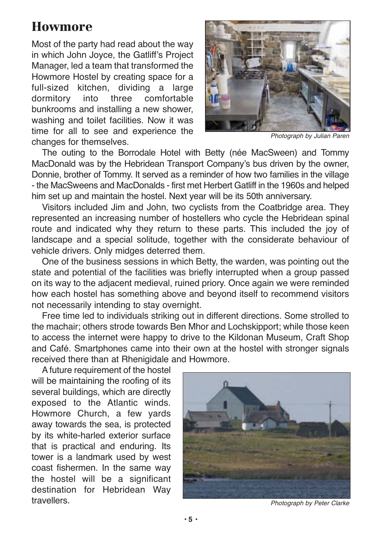## **Howmore**

Most of the party had read about the way in which John Joyce, the Gatliff's Project Manager, led a team that transformed the Howmore Hostel by creating space for a full-sized kitchen, dividing a large dormitory into three comfortable bunkrooms and installing a new shower, washing and toilet facilities. Now it was time for all to see and experience the changes for themselves.



Photograph by Julian Paren

The outing to the Borrodale Hotel with Betty (née MacSween) and Tommy MacDonald was by the Hebridean Transport Company's bus driven by the owner, Donnie, brother of Tommy. It served as a reminder of how two families in the village - the MacSweens and MacDonalds - first met Herbert Gatliff in the 1960s and helped him set up and maintain the hostel. Next year will be its 50th anniversary.

Visitors included Jim and John, two cyclists from the Coatbridge area. They represented an increasing number of hostellers who cycle the Hebridean spinal route and indicated why they return to these parts. This included the joy of landscape and a special solitude, together with the considerate behaviour of vehicle drivers. Only midges deterred them.

One of the business sessions in which Betty, the warden, was pointing out the state and potential of the facilities was briefly interrupted when a group passed on its way to the adjacent medieval, ruined priory. Once again we were reminded how each hostel has something above and beyond itself to recommend visitors not necessarily intending to stay overnight.

Free time led to individuals striking out in different directions. Some strolled to the machair; others strode towards Ben Mhor and Lochskipport; while those keen to access the internet were happy to drive to the Kildonan Museum, Craft Shop and Café. Smartphones came into their own at the hostel with stronger signals received there than at Rhenigidale and Howmore.

A future requirement of the hostel will be maintaining the roofing of its several buildings, which are directly exposed to the Atlantic winds. Howmore Church, a few yards away towards the sea, is protected by its white-harled exterior surface that is practical and enduring. Its tower is a landmark used by west coast fishermen. In the same way the hostel will be a significant destination for Hebridean Way **travellers** 



Photograph by Peter Clarke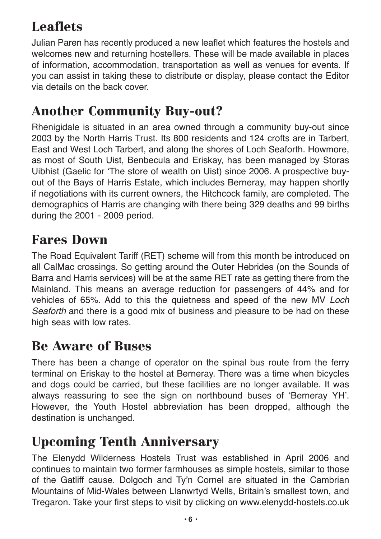# **Leaflets**

Julian Paren has recently produced a new leaflet which features the hostels and welcomes new and returning hostellers. These will be made available in places of information, accommodation, transportation as well as venues for events. If you can assist in taking these to distribute or display, please contact the Editor via details on the back cover.

## **Another Community Buy-out?**

Rhenigidale is situated in an area owned through a community buy-out since 2003 by the North Harris Trust. Its 800 residents and 124 crofts are in Tarbert, East and West Loch Tarbert, and along the shores of Loch Seaforth. Howmore, as most of South Uist, Benbecula and Eriskay, has been managed by Storas Uibhist (Gaelic for 'The store of wealth on Uist) since 2006. A prospective buyout of the Bays of Harris Estate, which includes Berneray, may happen shortly if negotiations with its current owners, the Hitchcock family, are completed. The demographics of Harris are changing with there being 329 deaths and 99 births during the 2001 - 2009 period.

## **Fares Down**

The Road Equivalent Tariff (RET) scheme will from this month be introduced on all CalMac crossings. So getting around the Outer Hebrides (on the Sounds of Barra and Harris services) will be at the same RET rate as getting there from the Mainland. This means an average reduction for passengers of 44% and for vehicles of 65%. Add to this the quietness and speed of the new MV Loch Seaforth and there is a good mix of business and pleasure to be had on these high seas with low rates.

## **Be Aware of Buses**

There has been a change of operator on the spinal bus route from the ferry terminal on Eriskay to the hostel at Berneray. There was a time when bicycles and dogs could be carried, but these facilities are no longer available. It was always reassuring to see the sign on northbound buses of 'Berneray YH'. However, the Youth Hostel abbreviation has been dropped, although the destination is unchanged.

# **Upcoming Tenth Anniversary**

The Elenydd Wilderness Hostels Trust was established in April 2006 and continues to maintain two former farmhouses as simple hostels, similar to those of the Gatliff cause. Dolgoch and Ty'n Cornel are situated in the Cambrian Mountains of Mid-Wales between Llanwrtyd Wells, Britain's smallest town, and Tregaron. Take your first steps to visit by clicking on www.elenydd-hostels.co.uk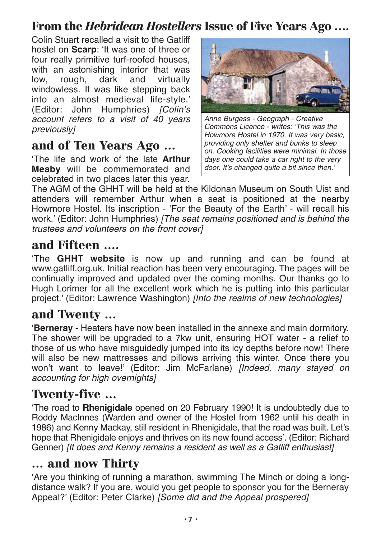#### **From the** *Hebridean Hostellers* **Issue of Five Years Ago ….**

Colin Stuart recalled a visit to the Gatliff hostel on **Scarp**: 'It was one of three or four really primitive turf-roofed houses, with an astonishing interior that was low, rough, dark and virtually windowless. It was like stepping back into an almost medieval life-style.' (Editor: John Humphries) [Colin's account refers to a visit of 40 years previously]

#### **and of Ten Years Ago …**

'The life and work of the late **Arthur Meaby** will be commemorated and celebrated in two places later this year.



Anne Burgess - Geograph - Creative Commons Licence - writes: 'This was the Howmore Hostel in 1970. It was very basic, providing only shelter and bunks to sleep on. Cooking facilities were minimal. In those days one could take a car right to the very door. It's changed quite a bit since then.'

The AGM of the GHHT will be held at the Kildonan Museum on South Uist and attenders will remember Arthur when a seat is positioned at the nearby Howmore Hostel. Its inscription - 'For the Beauty of the Earth' - will recall his work.' (Editor: John Humphries) [The seat remains positioned and is behind the trustees and volunteers on the front cover]

#### **and Fifteen ….**

'The **GHHT website** is now up and running and can be found at www.gatliff.org.uk. Initial reaction has been very encouraging. The pages will be continually improved and updated over the coming months. Our thanks go to Hugh Lorimer for all the excellent work which he is putting into this particular project.' (Editor: Lawrence Washington) *[Into the realms of new technologies]* 

#### **and Twenty …**

'**Berneray** - Heaters have now been installed in the annexe and main dormitory. The shower will be upgraded to a 7kw unit, ensuring HOT water - a relief to those of us who have misguidedly jumped into its icy depths before now! There will also be new mattresses and pillows arriving this winter. Once there you won't want to leave!' (Editor: Jim McFarlane) [Indeed, many stayed on accounting for high overnights]

#### **Twenty-five …**

'The road to **Rhenigidale** opened on 20 February 1990! It is undoubtedly due to Roddy MacInnes (Warden and owner of the Hostel from 1962 until his death in 1986) and Kenny Mackay, still resident in Rhenigidale, that the road was built. Let's hope that Rhenigidale enjoys and thrives on its new found access'. (Editor: Richard Genner) [It does and Kenny remains a resident as well as a Gatliff enthusiast]

#### **… and now Thirty**

'Are you thinking of running a marathon, swimming The Minch or doing a longdistance walk? If you are, would you get people to sponsor you for the Berneray Appeal?' (Editor: Peter Clarke) [Some did and the Appeal prospered]